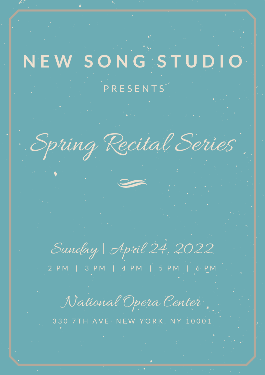## **N E W S O N G S T U D I O**

## P R E S E N T S'

Spring Recital Series

Sunday | April 24, 2022

2 P M | 3 P M | 4 P M | 5 P M | 6 P M

National Opera Center

330 7TH AVE NEW YORK, NY 10001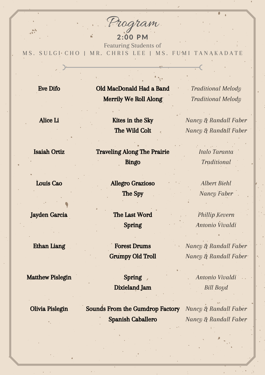Program

2:00 PM Featuring Students of M S. SULGI CHO | MR. CHRIS LEE | MS. FUMI TANAKADATE

 $\hat{\mathcal{A}}$ 

 $\rightarrow$ 

 $\ddot{\phantom{0}}$ 

 $\bullet$ 

| <b>Eve Difo</b>         | Old MacDonald Had a Band<br>Merrily We Roll Along | <b>Traditional Melody</b><br><b>Traditional Melody</b> |
|-------------------------|---------------------------------------------------|--------------------------------------------------------|
| Alice Li                | Kites in the Sky                                  | Nancy & Randall Faber                                  |
|                         | The Wild Colt                                     | Nancy & Randall Faber                                  |
| <b>Isaiah Ortiz</b>     | <b>Traveling Along The Prairie</b>                | Italo Taranta                                          |
|                         | <b>Bingo</b>                                      | Traditional                                            |
| Louis Cao               | <b>Allegro Grazioso</b>                           | <b>Albert Biehl</b>                                    |
|                         | The Spy                                           | Nancy Faber                                            |
| <b>Jayden Garcia</b>    | The Last Word                                     | Phillip Kevern                                         |
|                         | <b>Spring</b>                                     | Antonio Vivaldi                                        |
| <b>Ethan Liang</b>      | <b>Forest Drums</b>                               | Nancy & Randall Faber                                  |
|                         | <b>Grumpy Old Troll</b>                           | Nancy & Randall Faber                                  |
| <b>Matthew Pislegin</b> | <b>Spring</b>                                     | Antonio Vivaldi                                        |
|                         | <b>Dixieland Jam</b>                              | Bill Boyd                                              |
| Olivia Pislegin         | <b>Sounds From the Gumdrop Factory</b>            | Nancy & Randall Faber                                  |
|                         | <b>Spanish Caballero</b>                          | Nancy & Randall Faber                                  |
|                         |                                                   |                                                        |